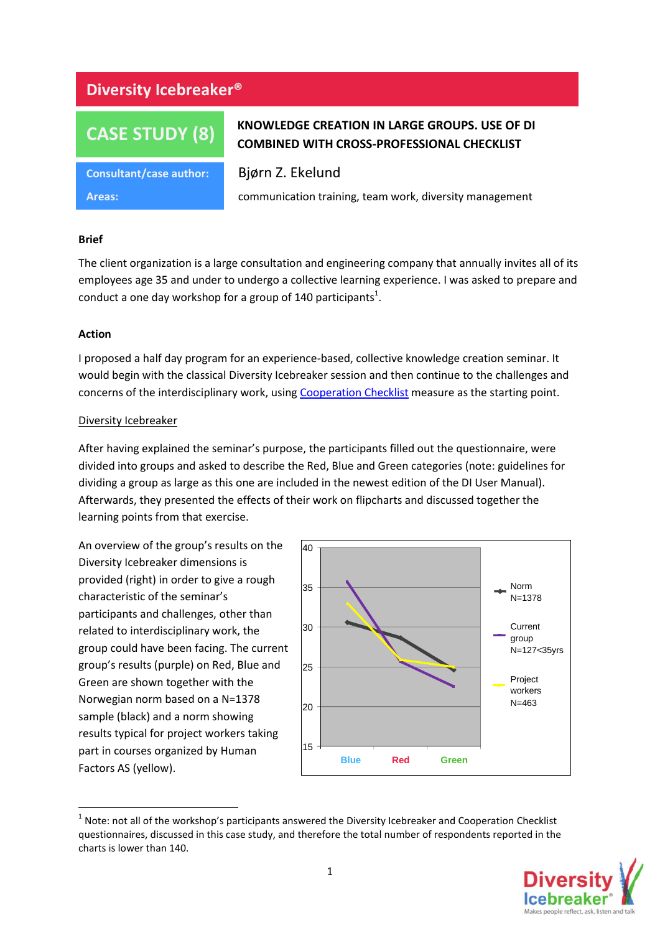## **Diversity Icebreaker®**

# **CASE STUDY (8)**

**Consultant/case author:** Bjørn Z. Ekelund

## **KNOWLEDGE CREATION IN LARGE GROUPS. USE OF DI COMBINED WITH CROSS-PROFESSIONAL CHECKLIST**

**Areas:** communication training, team work, diversity management

## **Brief**

The client organization is a large consultation and engineering company that annually invites all of its employees age 35 and under to undergo a collective learning experience. I was asked to prepare and conduct a one day workshop for a group of 140 participants<sup>1</sup>.

## **Action**

I proposed a half day program for an experience-based, collective knowledge creation seminar. It would begin with the classical Diversity Icebreaker session and then continue to the challenges and concerns of the interdisciplinary work, usin[g Cooperation Checklist](http://www.human-factors.no/other_psychometric_tests/cooperation_checklist.aspx) measure as the starting point.

## Diversity Icebreaker

After having explained the seminar's purpose, the participants filled out the questionnaire, were divided into groups and asked to describe the Red, Blue and Green categories (note: guidelines for dividing a group as large as this one are included in the newest edition of the DI User Manual). Afterwards, they presented the effects of their work on flipcharts and discussed together the learning points from that exercise.

An overview of the group's results on the Diversity Icebreaker dimensions is provided (right) in order to give a rough characteristic of the seminar's participants and challenges, other than related to interdisciplinary work, the group could have been facing. The current group's results (purple) on Red, Blue and Green are shown together with the Norwegian norm based on a N=1378 sample (black) and a norm showing results typical for project workers taking part in courses organized by Human Factors AS (yellow).



**<sup>.</sup>**  $1$  Note: not all of the workshop's participants answered the Diversity Icebreaker and Cooperation Checklist questionnaires, discussed in this case study, and therefore the total number of respondents reported in the charts is lower than 140.

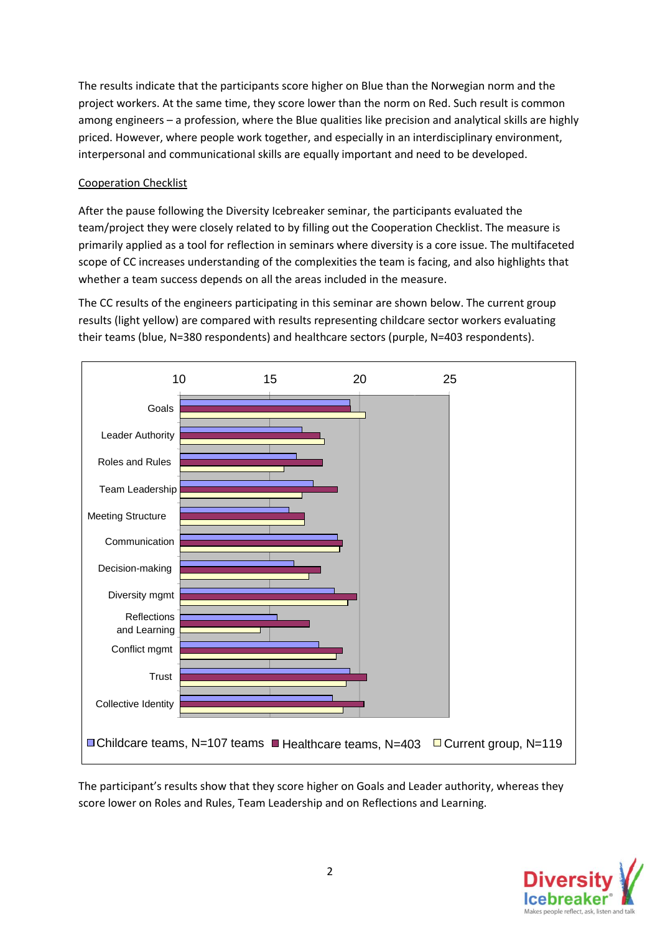The results indicate that the participants score higher on Blue than the Norwegian norm and the project workers. At the same time, they score lower than the norm on Red. Such result is common among engineers – a profession, where the Blue qualities like precision and analytical skills are highly priced. However, where people work together, and especially in an interdisciplinary environment, interpersonal and communicational skills are equally important and need to be developed.

## Cooperation Checklist

After the pause following the Diversity Icebreaker seminar, the participants evaluated the team/project they were closely related to by filling out the Cooperation Checklist. The measure is primarily applied as a tool for reflection in seminars where diversity is a core issue. The multifaceted scope of CC increases understanding of the complexities the team is facing, and also highlights that whether a team success depends on all the areas included in the measure.

The CC results of the engineers participating in this seminar are shown below. The current group results (light yellow) are compared with results representing childcare sector workers evaluating their teams (blue, N=380 respondents) and healthcare sectors (purple, N=403 respondents).



The participant's results show that they score higher on Goals and Leader authority, whereas they score lower on Roles and Rules, Team Leadership and on Reflections and Learning.

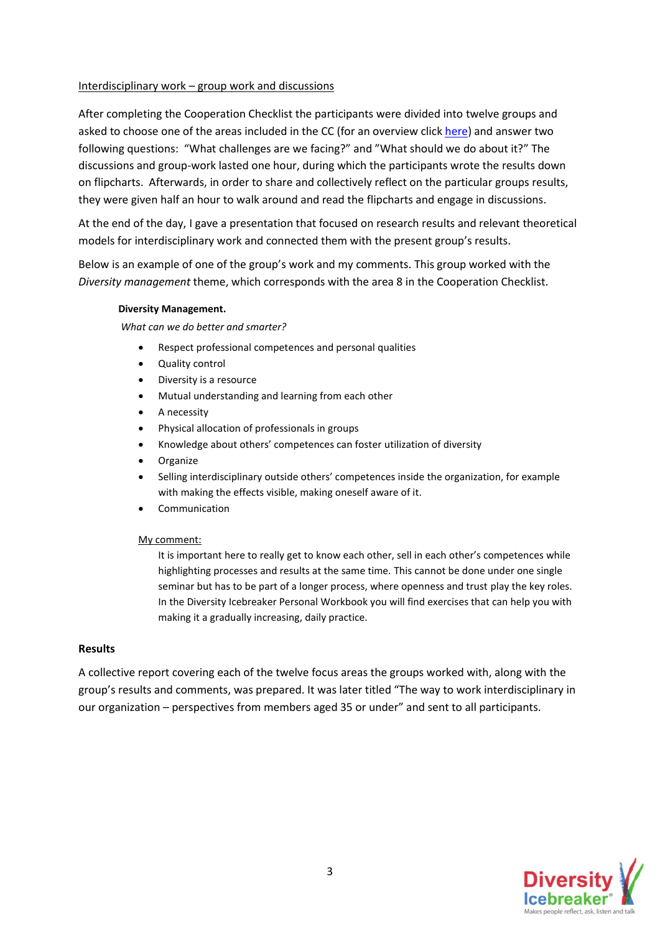## Interdisciplinary work – group work and discussions

After completing the Cooperation Checklist the participants were divided into twelve groups and asked to choose one of the areas included in the CC (for an overview click [here\)](http://www.human-factors.no/other_psychometric_tests/cooperation_checklist.aspx) and answer two following questions: "What challenges are we facing?" and "What should we do about it?" The discussions and group-work lasted one hour, during which the participants wrote the results down on flipcharts. Afterwards, in order to share and collectively reflect on the particular groups results, they were given half an hour to walk around and read the flipcharts and engage in discussions.

At the end of the day, I gave a presentation that focused on research results and relevant theoretical models for interdisciplinary work and connected them with the present group's results.

Below is an example of one of the group's work and my comments. This group worked with the *Diversity management* theme, which corresponds with the area 8 in the Cooperation Checklist.

### **Diversity Management.**

*What can we do better and smarter?*

- Respect professional competences and personal qualities
- Quality control
- Diversity is a resource
- Mutual understanding and learning from each other
- A necessity
- Physical allocation of professionals in groups
- Knowledge about others' competences can foster utilization of diversity
- Organize
- Selling interdisciplinary outside others' competences inside the organization, for example with making the effects visible, making oneself aware of it.
- Communication

#### My comment:

It is important here to really get to know each other, sell in each other's competences while highlighting processes and results at the same time. This cannot be done under one single seminar but has to be part of a longer process, where openness and trust play the key roles. In the Diversity Icebreaker Personal Workbook you will find exercises that can help you with making it a gradually increasing, daily practice.

#### **Results**

A collective report covering each of the twelve focus areas the groups worked with, along with the group's results and comments, was prepared. It was later titled "The way to work interdisciplinary in our organization – perspectives from members aged 35 or under" and sent to all participants.